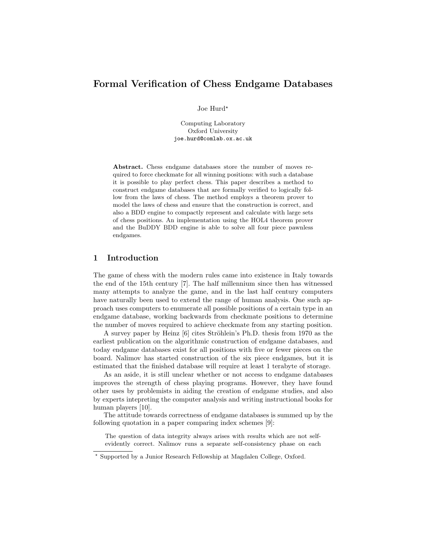# Formal Verification of Chess Endgame Databases

Joe Hurd\*

Computing Laboratory Oxford University joe.hurd@comlab.ox.ac.uk

Abstract. Chess endgame databases store the number of moves required to force checkmate for all winning positions: with such a database it is possible to play perfect chess. This paper describes a method to construct endgame databases that are formally verified to logically follow from the laws of chess. The method employs a theorem prover to model the laws of chess and ensure that the construction is correct, and also a BDD engine to compactly represent and calculate with large sets of chess positions. An implementation using the HOL4 theorem prover and the BuDDY BDD engine is able to solve all four piece pawnless endgames.

# 1 Introduction

The game of chess with the modern rules came into existence in Italy towards the end of the 15th century [7]. The half millennium since then has witnessed many attempts to analyze the game, and in the last half century computers have naturally been used to extend the range of human analysis. One such approach uses computers to enumerate all possible positions of a certain type in an endgame database, working backwards from checkmate positions to determine the number of moves required to achieve checkmate from any starting position.

A survey paper by Heinz [6] cites Ströhlein's Ph.D. thesis from 1970 as the earliest publication on the algorithmic construction of endgame databases, and today endgame databases exist for all positions with five or fewer pieces on the board. Nalimov has started construction of the six piece endgames, but it is estimated that the finished database will require at least 1 terabyte of storage.

As an aside, it is still unclear whether or not access to endgame databases improves the strength of chess playing programs. However, they have found other uses by problemists in aiding the creation of endgame studies, and also by experts intepreting the computer analysis and writing instructional books for human players [10].

The attitude towards correctness of endgame databases is summed up by the following quotation in a paper comparing index schemes [9]:

The question of data integrity always arises with results which are not selfevidently correct. Nalimov runs a separate self-consistency phase on each

<sup>?</sup> Supported by a Junior Research Fellowship at Magdalen College, Oxford.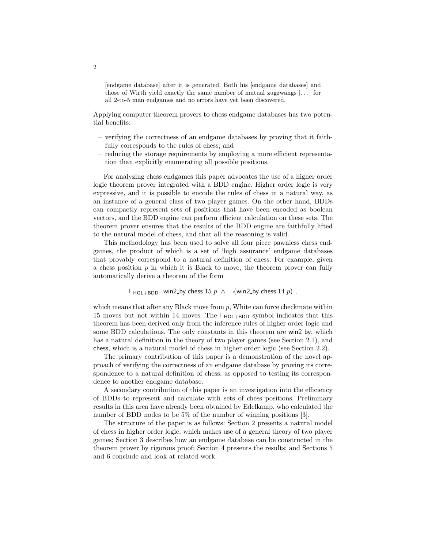[endgame database] after it is generated. Both his [endgame databases] and those of Wirth yield exactly the same number of mutual zugzwangs [. . . ] for all 2-to-5 man endgames and no errors have yet been discovered.

Applying computer theorem provers to chess endgame databases has two potential benefits:

- verifying the correctness of an endgame databases by proving that it faithfully corresponds to the rules of chess; and
- reducing the storage requirements by employing a more efficient representation than explicitly enumerating all possible positions.

For analyzing chess endgames this paper advocates the use of a higher order logic theorem prover integrated with a BDD engine. Higher order logic is very expressive, and it is possible to encode the rules of chess in a natural way, as an instance of a general class of two player games. On the other hand, BDDs can compactly represent sets of positions that have been encoded as boolean vectors, and the BDD engine can perform efficient calculation on these sets. The theorem prover ensures that the results of the BDD engine are faithfully lifted to the natural model of chess, and that all the reasoning is valid.

This methodology has been used to solve all four piece pawnless chess endgames, the product of which is a set of 'high assurance' endgame databases that provably correspond to a natural definition of chess. For example, given a chess position  $p$  in which it is Black to move, the theorem prover can fully automatically derive a theorem of the form

```
\vdash_{\text{HOL+BDD}} win2_by chess 15 p ∧ ¬(win2_by chess 14 p),
```
which means that after any Black move from  $p$ , White can force checkmate within 15 moves but not within 14 moves. The  $\vdash_{\text{HOL+BDD}}$  symbol indicates that this theorem has been derived only from the inference rules of higher order logic and some BDD calculations. The only constants in this theorem are win2 by, which has a natural definition in the theory of two player games (see Section 2.1), and chess, which is a natural model of chess in higher order logic (see Section 2.2).

The primary contribution of this paper is a demonstration of the novel approach of verifying the correctness of an endgame database by proving its correspondence to a natural definition of chess, as opposed to testing its correspondence to another endgame database.

A secondary contribution of this paper is an investigation into the efficiency of BDDs to represent and calculate with sets of chess positions. Preliminary results in this area have already been obtained by Edelkamp, who calculated the number of BDD nodes to be 5% of the number of winning positions [3].

The structure of the paper is as follows: Section 2 presents a natural model of chess in higher order logic, which makes use of a general theory of two player games; Section 3 describes how an endgame database can be constructed in the theorem prover by rigorous proof; Section 4 presents the results; and Sections 5 and 6 conclude and look at related work.

2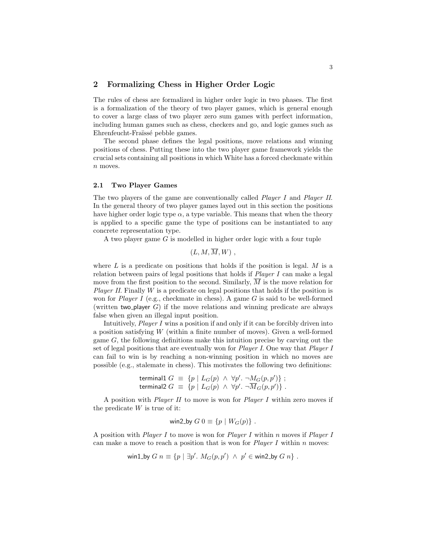# 2 Formalizing Chess in Higher Order Logic

The rules of chess are formalized in higher order logic in two phases. The first is a formalization of the theory of two player games, which is general enough to cover a large class of two player zero sum games with perfect information, including human games such as chess, checkers and go, and logic games such as Ehrenfeucht-Fraïssé pebble games.

The second phase defines the legal positions, move relations and winning positions of chess. Putting these into the two player game framework yields the crucial sets containing all positions in which White has a forced checkmate within n moves.

#### 2.1 Two Player Games

The two players of the game are conventionally called *Player I* and *Player II*. In the general theory of two player games layed out in this section the positions have higher order logic type  $\alpha$ , a type variable. This means that when the theory is applied to a specific game the type of positions can be instantiated to any concrete representation type.

A two player game G is modelled in higher order logic with a four tuple

$$
(L,M,M,W)\;,
$$

where  $L$  is a predicate on positions that holds if the position is legal.  $M$  is a relation between pairs of legal positions that holds if  $Player I$  can make a legal move from the first position to the second. Similarly,  $\overline{M}$  is the move relation for *Player II.* Finally  $W$  is a predicate on legal positions that holds if the position is won for Player I (e.g., checkmate in chess). A game G is said to be well-formed (written two player  $G$ ) if the move relations and winning predicate are always false when given an illegal input position.

Intuitively, Player I wins a position if and only if it can be forcibly driven into a position satisfying W (within a finite number of moves). Given a well-formed game G, the following definitions make this intuition precise by carving out the set of legal positions that are eventually won for Player I. One way that Player I can fail to win is by reaching a non-winning position in which no moves are possible (e.g., stalemate in chess). This motivates the following two definitions:

$$
\text{terminal 1 } G \equiv \{ p \mid L_G(p) \land \forall p'. \neg M_G(p, p') \} ;
$$
\n
$$
\text{terminal 2 } G \equiv \{ p \mid L_G(p) \land \forall p'. \neg \overline{M}_G(p, p') \} .
$$

A position with *Player II* to move is won for *Player I* within zero moves if the predicate  $W$  is true of it:

win2\_by 
$$
G
$$
  $0 \equiv \{p \mid W_G(p)\}$ .

A position with *Player I* to move is won for *Player I* within n moves if *Player I* can make a move to reach a position that is won for *Player I* within  $n$  moves:

$$
\text{win1\_by } G \ n \equiv \{ p \mid \exists p' \ldotp M_G(p, p') \ \land \ p' \in \text{win2\_by } G \ n \} \ .
$$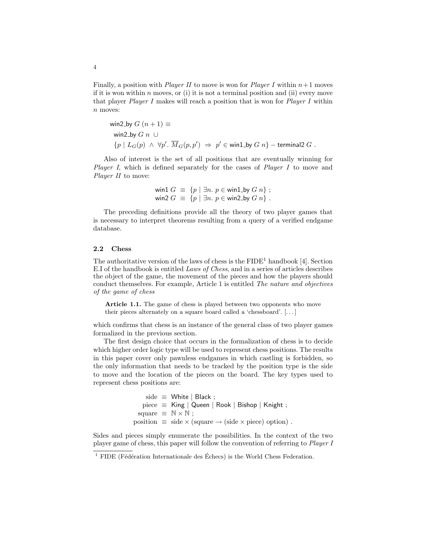Finally, a position with *Player II* to move is won for *Player I* within  $n+1$  moves if it is won within  $n$  moves, or (i) it is not a terminal position and (ii) every move that player Player I makes will reach a position that is won for Player I within n moves:

$$
\begin{aligned}\n\text{win2-by } G \ (n+1) & \equiv \\
\text{win2-by } G \ n \ \cup \\
\{p \mid L_G(p) \ \land \ \forall p'. \ \overline{M}_G(p, p') \ \Rightarrow \ p' \in \text{win1_by } G \ n\} - \text{terminal2 } G \ .\n\end{aligned}
$$

Also of interest is the set of all positions that are eventually winning for Player I, which is defined separately for the cases of Player I to move and Player II to move:

> win1  $G \equiv \{p \mid \exists n. p \in \text{win1} \cup \text{by } G \ n\}$ ; win2  $G \equiv \{p \mid \exists n. p \in \text{win2-by } G \; n \}$ .

The preceding definitions provide all the theory of two player games that is necessary to interpret theorems resulting from a query of a verified endgame database.

#### 2.2 Chess

The authoritative version of the laws of chess is the  $\text{FIDE}^1$  handbook [4]. Section E.I of the handbook is entitled Laws of Chess, and in a series of articles describes the object of the game, the movement of the pieces and how the players should conduct themselves. For example, Article 1 is entitled The nature and objectives of the game of chess

Article 1.1. The game of chess is played between two opponents who move their pieces alternately on a square board called a 'chessboard'. [. . . ]

which confirms that chess is an instance of the general class of two player games formalized in the previous section.

The first design choice that occurs in the formalization of chess is to decide which higher order logic type will be used to represent chess positions. The results in this paper cover only pawnless endgames in which castling is forbidden, so the only information that needs to be tracked by the position type is the side to move and the location of the pieces on the board. The key types used to represent chess positions are:

> side  $\equiv$  White | Black ;  $piece \equiv$  King | Queen | Rook | Bishop | Knight ; square  $\equiv \mathbb{N} \times \mathbb{N}$ ; position  $\equiv$  side  $\times$  (square  $\rightarrow$  (side  $\times$  piece) option).

Sides and pieces simply enumerate the possibilities. In the context of the two player game of chess, this paper will follow the convention of referring to Player I

<sup>&</sup>lt;sup>1</sup> FIDE (Fédération Internationale des Échecs) is the World Chess Federation.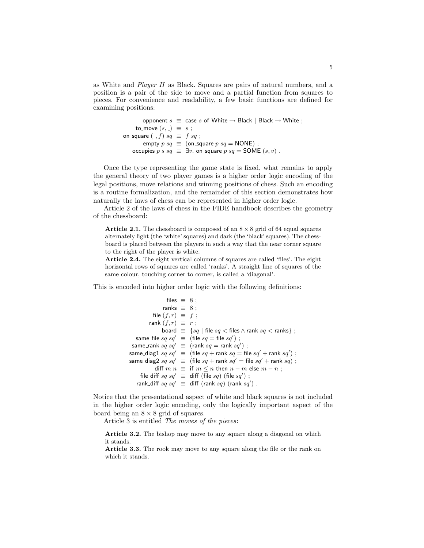as White and Player II as Black. Squares are pairs of natural numbers, and a position is a pair of the side to move and a partial function from squares to pieces. For convenience and readability, a few basic functions are defined for examining positions:

```
opponent s \equiv \text{case } s of White \rightarrow Black | Black \rightarrow White ;
     to_move (s, ) \equiv s ;on_square (, f) sq \equiv f sq;
         empty p \, sq \equiv (on square p \, sq = NONE) ;
    occupies p s s q \equiv \exists v. on square p s q = SOME (s, v).
```
Once the type representing the game state is fixed, what remains to apply the general theory of two player games is a higher order logic encoding of the legal positions, move relations and winning positions of chess. Such an encoding is a routine formalization, and the remainder of this section demonstrates how naturally the laws of chess can be represented in higher order logic.

Article 2 of the laws of chess in the FIDE handbook describes the geometry of the chessboard:

**Article 2.1.** The chessboard is composed of an  $8 \times 8$  grid of 64 equal squares alternately light (the 'white' squares) and dark (the 'black' squares). The chessboard is placed between the players in such a way that the near corner square to the right of the player is white.

Article 2.4. The eight vertical columns of squares are called 'files'. The eight horizontal rows of squares are called 'ranks'. A straight line of squares of the same colour, touching corner to corner, is called a 'diagonal'.

This is encoded into higher order logic with the following definitions:

files ≡ 8 ; ranks ≡ 8 ; file (f, r) ≡ f ; rank (f, r) ≡ r ; board ≡ {sq | file sq < files ∧ rank sq < ranks} ; same file sq sq<sup>0</sup> ≡ (file sq = file sq<sup>0</sup> ) ; same rank sq sq<sup>0</sup> ≡ (rank sq = rank sq<sup>0</sup> ) ; same diag1 sq sq<sup>0</sup> ≡ (file sq + rank sq = file sq<sup>0</sup> + rank sq<sup>0</sup> ) ; same diag2 sq sq<sup>0</sup> ≡ (file sq + rank sq<sup>0</sup> = file sq<sup>0</sup> + rank sq) ; diff m n ≡ if m ≤ n then n − m else m − n ; file diff sq sq<sup>0</sup> ≡ diff (file sq) (file sq<sup>0</sup> ) ; rank diff sq sq<sup>0</sup> ≡ diff (rank sq) (rank sq<sup>0</sup> ) .

Notice that the presentational aspect of white and black squares is not included in the higher order logic encoding, only the logically important aspect of the board being an  $8 \times 8$  grid of squares.

Article 3 is entitled The moves of the pieces:

Article 3.2. The bishop may move to any square along a diagonal on which it stands.

Article 3.3. The rook may move to any square along the file or the rank on which it stands.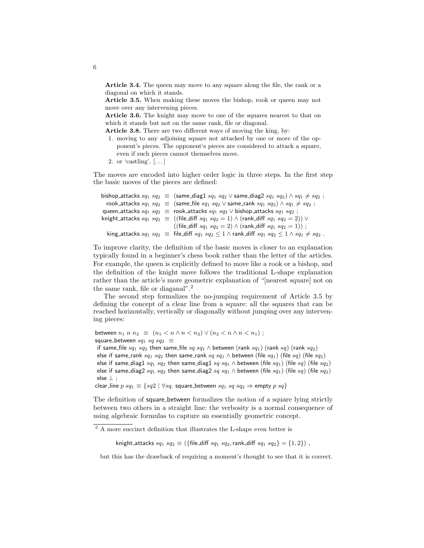Article 3.4. The queen may move to any square along the file, the rank or a diagonal on which it stands.

Article 3.5. When making these moves the bishop, rook or queen may not move over any intervening pieces.

Article 3.6. The knight may move to one of the squares nearest to that on which it stands but not on the same rank, file or diagonal.

Article 3.8. There are two different ways of moving the king, by:

- 1. moving to any adjoining square not attacked by one or more of the opponent's pieces. The opponent's pieces are considered to attack a square, even if such pieces cannot themselves move.
- 2. or 'castling'. [. . . ]

The moves are encoded into higher order logic in three steps. In the first step the basic moves of the pieces are defined:

```
bishop_attacks sq_1 sq_2 \equiv (same_diag1 sq_1 sq_2 \vee same_diag2 sq_1 sq_2) \wedge sq_1 \neq sq_2 ;
  rook attacks sq_1 \, sq_2 \equiv (same file sq_1 \, sq_2 \vee same rank sq_1 \, sq_2 \wedge sq_1 \neq sq_2;
queen attacks sq_1 sq_2 \equiv rook attacks sq_1 sq_2 \vee bishop attacks sq_1 sq_2;
knight_attacks sq_1 \, sq_2 \equiv ((file_diff sq_1 \, sq_2 = 1) \wedge (rank_diff sq_1 \, sq_2 = 2)) \vee((file_diff sq_1 sq_2 = 2) \wedge (rank_diff sq_1 sq_2 = 1));
   king attacks sq_1 \, sq_2 \equiv file diff sq_1 \, sq_2 \leq 1 \wedge rank diff sq_1 \, sq_2 \leq 1 \wedge sq_1 \neq sq_2.
```
To improve clarity, the definition of the basic moves is closer to an explanation typically found in a beginner's chess book rather than the letter of the articles. For example, the queen is explicitly defined to move like a rook or a bishop, and the definition of the knight move follows the traditional L-shape explanation rather than the article's more geometric explanation of "[nearest square] not on the same rank, file or diaganal".<sup>2</sup>

The second step formalizes the no-jumping requirement of Article 3.5 by defining the concept of a clear line from a square: all the squares that can be reached horizontally, vertically or diagonally without jumping over any intervening pieces:

between  $n_1$  n  $n_2 \equiv (n_1 < n \land n < n_2) \lor (n_2 < n \land n < n_1)$ ; square\_between  $sq_1$   $sq$   $sq_2$   $\equiv$ 

if same\_file  $sq_1$   $sq_2$  then same\_file  $sq$   $sq_1 \wedge$  between (rank  $sq_1$ ) (rank  $sq$ ) (rank  $sq_2$ ) else if same\_rank  $sq_1$   $sq_2$  then same\_rank  $sq$   $sq_1 \wedge$  between (file  $sq_1$ ) (file  $sq)$  (file  $sq_2$ ) else if same\_diag1 sq<sub>1</sub> sq<sub>2</sub> then same\_diag1 sq sq<sub>1</sub>  $\wedge$  between (file sq<sub>1</sub>) (file sq<sub>2</sub>) else if same\_diag2  $sq_1$   $sq_2$  then same\_diag2  $sq$   $sq_1 \wedge$  between (file  $sq_1$ ) (file  $sq_2$ ) (file  $sq_2$ ) else ⊥ ;

clear line  $p \, sq_1 \equiv \{sq2 \mid \forall sq. \text{ square} \text{ between } sq_1 \text{ sq } sq_2 \Rightarrow \text{empty } p \text{ sq } \}$ 

The definition of square between formalizes the notion of a square lying strictly between two others in a straight line: the verbosity is a normal consequence of using algebraic formulas to capture an essentially geometric concept.

knight\_attacks  $sq_1 sq_2 \equiv (\{\text{file\_diff } sq_1 sq_2, \text{rank\_diff } sq_1 sq_2\} = \{1,2\})$ ,

but this has the drawback of requiring a moment's thought to see that it is correct.

6

 $^2$  A more succinct definition that illustrates the L-shape even better is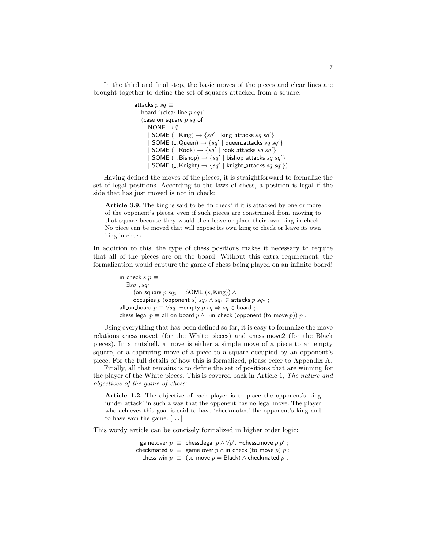In the third and final step, the basic moves of the pieces and clear lines are brought together to define the set of squares attacked from a square.

```
attacks p sq \equivboard \cap clear_line p \ sq \cap(case on square p sq of
      NONE \rightarrow \emptyset| SOME (-, King) \rightarrow \{sq' | king attacks sq sq'}
       | SOME (-, Queen) \rightarrow \{sq^{'}| queen attacks sq^{'}sq^{'}\}| SOME (, Rook) \rightarrow \{sq' \mid rook_attacks sq \ sq' \}| SOME (, Bishop) \rightarrow \{sq' | bishop_attacks sq \text{ } sq' \}| SOME (, Knight) \rightarrow \{sq' | knight_attacks sq \ sq' \}).
```
Having defined the moves of the pieces, it is straightforward to formalize the set of legal positions. According to the laws of chess, a position is legal if the side that has just moved is not in check:

Article 3.9. The king is said to be 'in check' if it is attacked by one or more of the opponent's pieces, even if such pieces are constrained from moving to that square because they would then leave or place their own king in check. No piece can be moved that will expose its own king to check or leave its own king in check.

In addition to this, the type of chess positions makes it necessary to require that all of the pieces are on the board. Without this extra requirement, the formalization would capture the game of chess being played on an infinite board!

```
in_check s p \equiv\exists sq_1, sq_2.(on_square p sq_1 = SOME (s, King)) \wedgeoccupies p (opponent s) sq_2 \wedge sq_1 \in attacks p sq_2;
all on board p \equiv \forall s q. ¬empty p s q \Rightarrow s q \in board;
chess_legal p \equiv all_on_board p \wedge \negin_check (opponent (to_move p)) p.
```
Using everything that has been defined so far, it is easy to formalize the move relations chess move1 (for the White pieces) and chess move2 (for the Black pieces). In a nutshell, a move is either a simple move of a piece to an empty square, or a capturing move of a piece to a square occupied by an opponent's piece. For the full details of how this is formalized, please refer to Appendix A.

Finally, all that remains is to define the set of positions that are winning for the player of the White pieces. This is covered back in Article 1, The nature and objectives of the game of chess:

Article 1.2. The objective of each player is to place the opponent's king 'under attack' in such a way that the opponent has no legal move. The player who achieves this goal is said to have 'checkmated' the opponent's king and to have won the game.  $[\dots]$ 

This wordy article can be concisely formalized in higher order logic:

game\_over  $p\;\equiv\;$  chess\_legal  $p\wedge \forall p'.\; \neg \mathsf{chess\_move}\; p\; p'$  ; checkmated  $p \equiv$  game\_over  $p \wedge$  in\_check (to\_move  $p$ )  $p$ ; chess\_win  $p \equiv$  (to\_move  $p =$  Black)  $\land$  checkmated  $p$ .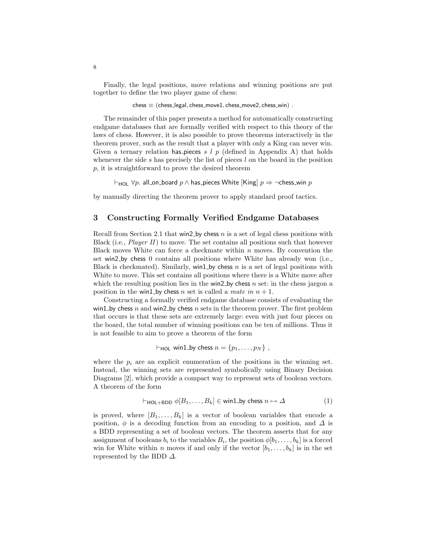Finally, the legal positions, move relations and winning positions are put together to define the two player game of chess:

 $ches \equiv (chess\_legal, chess_move1, chess_move2, chess_win)$ .

The remainder of this paper presents a method for automatically constructing endgame databases that are formally verified with respect to this theory of the laws of chess. However, it is also possible to prove theorems interactively in the theorem prover, such as the result that a player with only a King can never win. Given a ternary relation has pieces s  $l$  p (defined in Appendix A) that holds whenever the side  $s$  has precisely the list of pieces  $l$  on the board in the position p, it is straightforward to prove the desired theorem

 $\vdash_{\mathsf{HOL}} \forall p$ . all on board p ∧ has pieces White [King]  $p \Rightarrow \neg \mathsf{chess\_win}\ p$ 

by manually directing the theorem prover to apply standard proof tactics.

# 3 Constructing Formally Verified Endgame Databases

Recall from Section 2.1 that win2 by chess n is a set of legal chess positions with Black (i.e., *Player II*) to move. The set contains all positions such that however Black moves White can force a checkmate within  $n$  moves. By convention the set win2 by chess 0 contains all positions where White has already won (i.e., Black is checkmated). Similarly, win1 by chess  $n$  is a set of legal positions with White to move. This set contains all positions where there is a White move after which the resulting position lies in the win2 by chess n set: in the chess jargon a position in the win1 by chess n set is called a mate in  $n + 1$ .

Constructing a formally verified endgame database consists of evaluating the win1 by chess n and win2 by chess n sets in the theorem prover. The first problem that occurs is that these sets are extremely large: even with just four pieces on the board, the total number of winning positions can be ten of millions. Thus it is not feasible to aim to prove a theorem of the form

 $\vdash_{\text{HO}}$  win1 by chess  $n = \{p_1, \ldots, p_N\}$ ,

where the  $p_i$  are an explicit enumeration of the positions in the winning set. Instead, the winning sets are represented symbolically using Binary Decision Diagrams [2], which provide a compact way to represent sets of boolean vectors. A theorem of the form

$$
\vdash_{\mathsf{HOL} + \mathsf{BDD}} \phi[B_1, \dots, B_k] \in \mathsf{win1\_by} \text{ chess } n \mapsto \Delta \tag{1}
$$

is proved, where  $[B_1, \ldots, B_k]$  is a vector of boolean variables that encode a position,  $\phi$  is a decoding function from an encoding to a position, and  $\Delta$  is a BDD representing a set of boolean vectors. The theorem asserts that for any assignment of booleans  $b_i$  to the variables  $B_i$ , the position  $\phi[b_1, \ldots, b_k]$  is a forced win for White within *n* moves if and only if the vector  $[b_1, \ldots, b_k]$  is in the set represented by the BDD  $\Delta$ .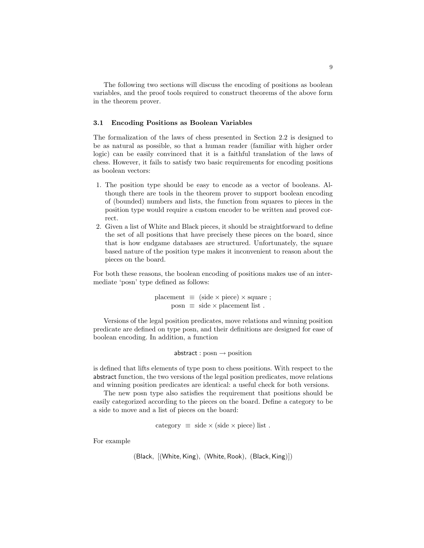The following two sections will discuss the encoding of positions as boolean variables, and the proof tools required to construct theorems of the above form in the theorem prover.

#### 3.1 Encoding Positions as Boolean Variables

The formalization of the laws of chess presented in Section 2.2 is designed to be as natural as possible, so that a human reader (familiar with higher order logic) can be easily convinced that it is a faithful translation of the laws of chess. However, it fails to satisfy two basic requirements for encoding positions as boolean vectors:

- 1. The position type should be easy to encode as a vector of booleans. Although there are tools in the theorem prover to support boolean encoding of (bounded) numbers and lists, the function from squares to pieces in the position type would require a custom encoder to be written and proved correct.
- 2. Given a list of White and Black pieces, it should be straightforward to define the set of all positions that have precisely these pieces on the board, since that is how endgame databases are structured. Unfortunately, the square based nature of the position type makes it inconvenient to reason about the pieces on the board.

For both these reasons, the boolean encoding of positions makes use of an intermediate 'posn' type defined as follows:

> placement  $\equiv$  (side  $\times$  piece)  $\times$  square ;  $posn \equiv side \times placement$  list.

Versions of the legal position predicates, move relations and winning position predicate are defined on type posn, and their definitions are designed for ease of boolean encoding. In addition, a function

 $abstraction : posn \rightarrow position$ 

is defined that lifts elements of type posn to chess positions. With respect to the abstract function, the two versions of the legal position predicates, move relations and winning position predicates are identical: a useful check for both versions.

The new posn type also satisfies the requirement that positions should be easily categorized according to the pieces on the board. Define a category to be a side to move and a list of pieces on the board:

category  $\equiv$  side  $\times$  (side  $\times$  piece) list.

For example

```
(Black, [(White,King), (White, Rook), (Black,King)])
```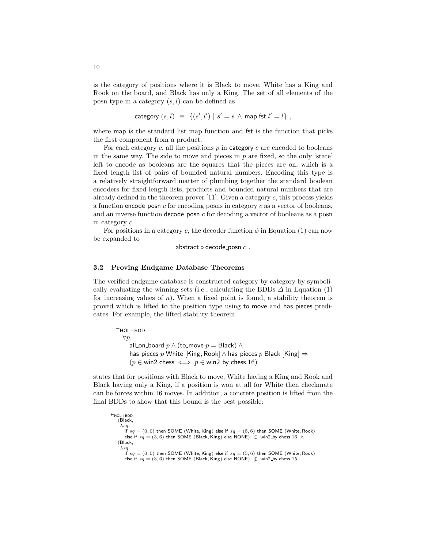is the category of positions where it is Black to move, White has a King and Rook on the board, and Black has only a King. The set of all elements of the posn type in a category  $(s, l)$  can be defined as

category 
$$
(s, l) \equiv \{(s', l') | s' = s \land \text{map } \text{fst } l' = l\}
$$
,

where map is the standard list map function and fst is the function that picks the first component from a product.

For each category c, all the positions  $p$  in category c are encoded to booleans in the same way. The side to move and pieces in  $p$  are fixed, so the only 'state' left to encode as booleans are the squares that the pieces are on, which is a fixed length list of pairs of bounded natural numbers. Encoding this type is a relatively straightforward matter of plumbing together the standard boolean encoders for fixed length lists, products and bounded natural numbers that are already defined in the theorem prover [11]. Given a category  $c$ , this process yields a function encode posn  $c$  for encoding posns in category  $c$  as a vector of booleans, and an inverse function decode posn  $c$  for decoding a vector of booleans as a posn in category c.

For positions in a category c, the decoder function  $\phi$  in Equation (1) can now be expanded to

```
abstract \circ decode_posn c.
```
#### 3.2 Proving Endgame Database Theorems

The verified endgame database is constructed category by category by symbolically evaluating the winning sets (i.e., calculating the BDDs  $\Delta$  in Equation (1) for increasing values of n). When a fixed point is found, a stability theorem is proved which is lifted to the position type using to move and has pieces predicates. For example, the lifted stability theorem

 $\vdash$ HOL $+$ BDD  $\forall p$ . all\_on\_board  $p \wedge$  (to\_move  $p =$  Black)  $\wedge$ has pieces p White [King, Rook] ∧ has pieces p Black [King]  $\Rightarrow$  $(p \in \text{win2 chess} \iff p \in \text{win2-by chess} 16)$ 

states that for positions with Black to move, White having a King and Rook and Black having only a King, if a position is won at all for White then checkmate can be forces within 16 moves. In addition, a concrete position is lifted from the final BDDs to show that this bound is the best possible:

 $\vdash$ HOL $+$ BDD (Black,  $\lambda$ sq. if  $sq = (0, 0)$  then SOME (White, King) else if  $sq = (5, 6)$  then SOME (White, Rook) else if  $sq = (3, 6)$  then SOME (Black, King) else NONE)  $∈$  win2 by chess 16 ∧ (Black,  $\lambda$ sa. if  $sq = (0,0)$  then SOME (White, King) else if  $sq = (5,6)$  then SOME (White, Rook) else if  $sq = (3,6)$  then SOME (Black, King) else NONE)  $\notin$  win2 by chess 15.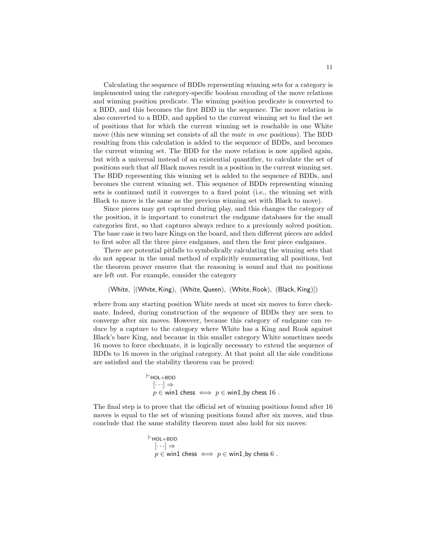Calculating the sequence of BDDs representing winning sets for a category is implemented using the category-specific boolean encoding of the move relations and winning position predicate. The winning position predicate is converted to a BDD, and this becomes the first BDD in the sequence. The move relation is also converted to a BDD, and applied to the current winning set to find the set of positions that for which the current winning set is reachable in one White move (this new winning set consists of all the mate in one positions). The BDD resulting from this calculation is added to the sequence of BDDs, and becomes the current winning set. The BDD for the move relation is now applied again, but with a universal instead of an existential quantifier, to calculate the set of positions such that all Black moves result in a position in the current winning set. The BDD representing this winning set is added to the sequence of BDDs, and becomes the current winning set. This sequence of BDDs representing winning sets is continued until it converges to a fixed point (i.e., the winning set with Black to move is the same as the previous winning set with Black to move).

Since pieces may get captured during play, and this changes the category of the position, it is important to construct the endgame databases for the small categories first, so that captures always reduce to a previously solved position. The base case is two bare Kings on the board, and then different pieces are added to first solve all the three piece endgames, and then the four piece endgames.

There are potential pitfalls to symbolically calculating the winning sets that do not appear in the usual method of explicitly enumerating all positions, but the theorem prover ensures that the reasoning is sound and that no positions are left out. For example, consider the category

(White, [(White,King), (White, Queen), (White, Rook), (Black,King)])

where from any starting position White needs at most six moves to force checkmate. Indeed, during construction of the sequence of BDDs they are seen to converge after six moves. However, because this category of endgame can reduce by a capture to the category where White has a King and Rook against Black's bare King, and because in this smaller category White sometimes needs 16 moves to force checkmate, it is logically necessary to extend the sequence of BDDs to 16 moves in the original category. At that point all the side conditions are satisfied and the stability theorem can be proved:

> $\vdash$ HOL $+$ BDD  $[\cdots] \Rightarrow$  $p \in$  win1 chess  $\iff p \in$  win1 by chess 16.

The final step is to prove that the official set of winning positions found after 16 moves is equal to the set of winning positions found after six moves, and thus conclude that the same stability theorem must also hold for six moves:

```
\vdashHOL+BDD
  [\cdots] \Rightarrowp \in \text{win1 chess} \iff p \in \text{win1_by chess} 6.
```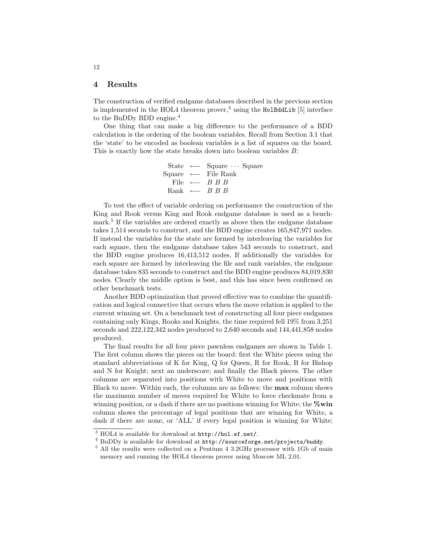### 4 Results

The construction of verified endgame databases described in the previous section is implemented in the HOL4 theorem prover,<sup>3</sup> using the HolBddLib  $[5]$  interface to the BuDDy BDD engine.<sup>4</sup>

One thing that can make a big difference to the performance of a BDD calculation is the ordering of the boolean variables. Recall from Section 3.1 that the 'state' to be encoded as boolean variables is a list of squares on the board. This is exactly how the state breaks down into boolean variables B:

```
State ←− Square · · · Square
Square ←− File Rank
  File ← B B B
 Rank ← B B B
```
To test the effect of variable ordering on performance the construction of the King and Rook versus King and Rook endgame database is used as a benchmark.<sup>5</sup> If the variables are ordered exactly as above then the endgame database takes 1,514 seconds to construct, and the BDD engine creates 165,847,971 nodes. If instead the variables for the state are formed by interleaving the variables for each square, then the endgame database takes 543 seconds to construct, and the BDD engine produces 16,413,512 nodes. If additionally the variables for each square are formed by interleaving the file and rank variables, the endgame database takes 835 seconds to construct and the BDD engine produces 84,019,830 nodes. Clearly the middle option is best, and this has since been confirmed on other benchmark tests.

Another BDD optimization that proved effective was to combine the quantification and logical connective that occurs when the move relation is applied to the current winning set. On a benchmark test of constructing all four piece endgames containing only Kings, Rooks and Knights, the time required fell 19% from 3,251 seconds and 222,122,342 nodes produced to 2,640 seconds and 144,441,858 nodes produced.

The final results for all four piece pawnless endgames are shown in Table 1. The first column shows the pieces on the board: first the White pieces using the standard abbreviations of K for King, Q for Queen, R for Rook, B for Bishop and N for Knight; next an underscore; and finally the Black pieces. The other columns are separated into positions with White to move and positions with Black to move. Within each, the columns are as follows: the max column shows the maximum number of moves required for White to force checkmate from a winning position, or a dash if there are no positions winning for White; the  $\%$ win column shows the percentage of legal positions that are winning for White, a dash if there are none, or 'ALL' if every legal position is winning for White;

 $\frac{3 \text{ HOL}}{4}$  is available for download at http://hol.sf.net/.

<sup>4</sup> BuDDy is available for download at http://sourceforge.net/projects/buddy.

 $^5$  All the results were collected on a Pentium 4 3.2GHz processor with 1Gb of main memory and running the HOL4 theorem prover using Moscow ML 2.01.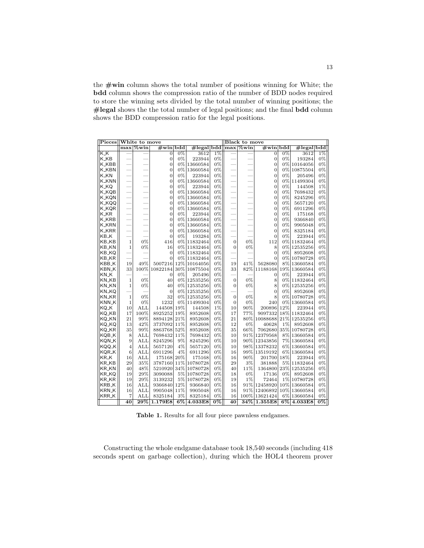the  $\#win$  column shows the total number of positions winning for White; the bdd column shows the compression ratio of the number of BDD nodes required to store the winning sets divided by the total number of winning positions; the #legal shows the the total number of legal positions; and the final bdd column shows the BDD compression ratio for the legal positions.

|                    | Pieces  White to move |              |                |       |           |                  | <b>Black to move</b>     |          |                               |       |                         |                  |
|--------------------|-----------------------|--------------|----------------|-------|-----------|------------------|--------------------------|----------|-------------------------------|-------|-------------------------|------------------|
|                    |                       | $max$ /%win  | $\#\text{win}$ | bdd   | #legalbdd |                  |                          | max %win | $\#\overline{\text{win}}$ bdd |       | $#legal$ <sub>bdd</sub> |                  |
| K_K                |                       |              | 0              | $0\%$ | 3612      | $1\%$            |                          |          | $\overline{0}$                | $0\%$ | 3612                    | $1\%$            |
| K_KB               |                       |              | $\overline{0}$ | $0\%$ | 223944    | 0%               |                          |          | $\overline{0}$                | $0\%$ | 193284                  | $0\%$            |
| <b>K_KBB</b>       |                       |              | $\overline{0}$ | 0%    | 13660584  | 0%               |                          |          | $\overline{0}$                | 0%    | 10164056                | $0\%$            |
| <b>K_KBN</b>       |                       |              | $\overline{0}$ | 0%    | 13660584  | 0%               |                          |          | $\overline{0}$                | 0%    | 10875504                | 0%               |
| K_KN               |                       |              | $\overline{0}$ | 0%    | 223944    | 0%               |                          |          | $\overline{0}$                | 0%    | 205496                  | $0\%$            |
| <b>K_KNN</b>       |                       |              | $\overline{0}$ | 0%    | 13660584  | 0%               |                          |          | $\overline{0}$                | $0\%$ | 11499304                | 0%               |
| K_KQ               |                       |              | $\overline{0}$ | 0%    | 223944    | 0%               |                          |          | $\overline{0}$                | 0%    | 144508                  | 1%               |
| <b>K_KQB</b>       |                       |              | $\overline{0}$ | 0%    | 13660584  | 0%               |                          |          | $\overline{0}$                | 0%    | 7698432                 | 0%               |
| <b>K_KQN</b>       |                       |              | $\overline{0}$ | 0%    | 13660584  | 0%               | -                        |          | $\overline{0}$                | 0%    | 8245296                 | 0%               |
| K_KQQ              | -                     |              | $\overline{0}$ | $0\%$ | 13660584  | 0%               | $\overline{\phantom{0}}$ |          | $\overline{0}$                | 0%    | 5657120                 | 0%               |
| <b>K_KQR</b>       | -                     |              | $\overline{0}$ | 0%    | 13660584  | 0%               |                          |          | $\overline{0}$                | 0%    | 6911296                 | 0%               |
| K_KR               |                       |              | $\overline{0}$ | 0%    | 223944    | 0%               |                          |          | $\overline{0}$                | 0%    | 175168                  | $0\%$            |
| <b>K_KRB</b>       |                       |              | $\overline{0}$ | 0%    | 13660584  | 0%               |                          |          | $\overline{0}$                | 0%    | 9366840                 | 0%               |
| K_KRN              |                       |              | $\overline{0}$ | 0%    | 13660584  | 0%               | $\overline{\phantom{0}}$ |          | $\overline{0}$                | 0%    | 9905048                 | 0%               |
| <b>K_KRR</b>       |                       |              | $\overline{0}$ | 0%    | 13660584  | 0%               |                          |          | $\overline{0}$                | 0%    | 8325184                 | 0%               |
| KB <sub>-</sub> K  |                       |              | $\overline{0}$ | 0%    | 193284    | 0%               |                          |          | $\overline{0}$                | 0%    | 223944                  | 0%               |
| KB_KB              | $\mathbf{1}$          | 0%           | 416            | 0%    | 11832464  | 0%               | $\boldsymbol{0}$         | 0%       | 112                           |       | 0% 11832464             | 0%               |
| KB_KN              | $\mathbf{1}$          | 0%           | 16             | 0%    | 11832464  | 0%               | $\overline{0}$           | 0%       | 8                             |       | 0% 12535256             | 0%               |
| KB_KQ              |                       |              | $\overline{0}$ | $0\%$ | 11832464  | 0%               |                          |          | $\overline{0}$                | 0%    | 8952608                 | 0%               |
| KB_KR              |                       |              | $\overline{0}$ | $0\%$ | 11832464  | 0%               |                          |          | $\overline{0}$                | 0%    | 10780728                | 0%               |
| KBB <sub>-</sub> K | 19                    | 49%          | 5007216        | 12%   | 10164056  | 0%               | 19                       | 41%      | 5628080                       | 8%    | 13660584                | $0\%$            |
| KBN_K              | 33                    | 100%         | 10822184       | 30%   | 10875504  | 0%               | 33                       | 82%      | 11188168                      | 19%   | 13660584                | 0%               |
| KN <sub>-</sub> K  |                       |              | 0              | 0%    | 205496    | 0%               |                          |          | $\overline{0}$                | 0%    | 223944                  | 0%               |
| KN_KB              | $\mathbf{1}$          | 0%           | 40             | $0\%$ | 12535256  | 0%               | $\overline{0}$           | 0%       | 8                             | $0\%$ | 11832464                | 0%               |
| KN_KN              | 1                     | 0%           | 40             | 0%    | 12535256  | 0%               | $\bf{0}$                 | 0%       | 8                             | 0%    | 12535256                | 0%               |
| KN_KQ              |                       |              | $\mathbf{0}$   | 0%    | 12535256  | 0%               |                          |          | $\overline{0}$                | 0%    | 8952608                 | 0%               |
| <b>KN_KR</b>       | $\mathbf{1}$          | 0%           | 32             | $0\%$ | 12535256  | 0%               | $\overline{0}$           | 0%       | 8                             | $0\%$ | 10780728                | 0%               |
| KNN <sub>-</sub> K | $\mathbf{1}$          | 0%           | 1232           | 0%    | 11499304  | 0%               | $\overline{0}$           | 0%       | 240                           | 0%    | 13660584                | 0%               |
| KQ_K               | 10                    | ALL          | 144508         | 19%   | 144508    | 1%               | 10                       | 90%      | 200896                        | 12%   | 223944                  | $0\%$            |
| KQ_KB              | 17                    | 100%         | 8925252        | 19%   | 8952608   | 0%               | 17                       | 77%      | 9097332                       | 18%   | 11832464                | $0\%$            |
| KQ_KN              | 21                    | 99%          | 8894128        | 21%   | 8952608   | 0%               | 21                       | 80%      | 10088688                      | 21%   | 12535256                | 0%               |
| KQ_KQ              | 13                    | 42%          | 3737092        | 11%   | 8952608   | 0%               | 12                       | 0%       | 40628                         | 1%    | 8952608                 | 0%               |
| KQ_KR              | 35                    | 99%          | 8863768        | 52%   | 8952608   | 0%               | 35                       | 66%      | 7062680                       | 35%   | 10780728                | 0%               |
| KQB_K              | 8                     | $_{\rm ALL}$ | 7698432        | 11%   | 7698432   | 0%               | 10                       | 91%      | 12379568                      | 8%    | 13660584                | 0%               |
| KQN_K              | 9                     | ALL          | 8245296        | 9%    | 8245296   | 0%               | 10                       | 90%      | 12343856                      | 7%    | 13660584                | 0%               |
| KQQ_K              | 4                     | <b>ALL</b>   | 5657120        | 4%    | 5657120   | 0%               | 10                       | 98%      | 13378232                      | 6%    | 13660584                | 0%               |
| KQR_K              | 6                     | <b>ALL</b>   | 6911296        | 4%    | 6911296   | 0%               | 16                       | 99%      | 13519192                      | 6%    | 13660584                | 0%               |
| KR_K               | 16                    | $_{\rm ALL}$ | 175168         | 20%   | 175168    | 0%               | 16                       | 90%      | 201700                        | 18%   | 223944                  | 0%               |
| KR_KB              | 29                    | 35%          | 3787160        | 11%   | 10780728  | 0%               | 29                       | 3%       | 381888                        | 5%    | 11832464                | $0\%$            |
| <b>KR_KN</b>       | 40                    | 48%          | 5210920        | 34%   | 10780728  | 0%               | 40                       | 11%      | 1364800                       | 23%   | 12535256                | 0%               |
| KR_KQ              | 19                    | 29%          | 3090088        | $5\%$ | 10780728  | 0%               | 18                       | 0%       | 17136                         | 0%    | 8952608                 | 0%               |
| KR_KR              | 19                    | 29%          | 3139232        | $5\%$ | 10780728  | 0%               | 19                       | 1%       | 72464                         | $1\%$ | 10780728                | $0\%$            |
| KRB <sub>-</sub> K | 16                    | ALL          | 9366840        | 12%   | 9366840   | 0%               | 16                       | 91%      | 12458920                      | 10%   | 13660584                | 0%               |
| KRN <sub>-</sub> K | 16                    | <b>ALL</b>   | 9905048        | 11%   | 9905048   | 0%               | 16                       | 91%      | 12406892                      |       | 10% 13660584            | 0%               |
| <b>KRR_K</b>       | 7                     | ALL          | 8325184        | 3%    | 8325184   | 0%               | 16                       |          | 100% 13621424                 |       | 6% 13660584             | 0%               |
|                    | 40                    | $29\%$       | 1.179E8        | $6\%$ | 4.033E8   | $\overline{0\%}$ | 40                       |          | $34\%$ 1.355E8                |       | $6\%$ 4.033E8           | $\overline{0\%}$ |
|                    |                       |              |                |       |           |                  |                          |          |                               |       |                         |                  |

Table 1. Results for all four piece pawnless endgames.

Constructing the whole endgame database took 18,540 seconds (including 418 seconds spent on garbage collection), during which the HOL4 theorem prover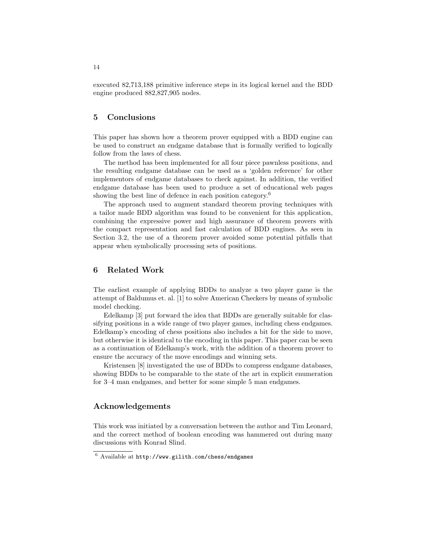executed 82,713,188 primitive inference steps in its logical kernel and the BDD engine produced 882,827,905 nodes.

## 5 Conclusions

This paper has shown how a theorem prover equipped with a BDD engine can be used to construct an endgame database that is formally verified to logically follow from the laws of chess.

The method has been implemented for all four piece pawnless positions, and the resulting endgame database can be used as a 'golden reference' for other implementors of endgame databases to check against. In addition, the verified endgame database has been used to produce a set of educational web pages showing the best line of defence in each position category.<sup>6</sup>

The approach used to augment standard theorem proving techniques with a tailor made BDD algorithm was found to be convenient for this application, combining the expressive power and high assurance of theorem provers with the compact representation and fast calculation of BDD engines. As seen in Section 3.2, the use of a theorem prover avoided some potential pitfalls that appear when symbolically processing sets of positions.

# 6 Related Work

The earliest example of applying BDDs to analyze a two player game is the attempt of Baldumus et. al. [1] to solve American Checkers by means of symbolic model checking.

Edelkamp [3] put forward the idea that BDDs are generally suitable for classifying positions in a wide range of two player games, including chess endgames. Edelkamp's encoding of chess positions also includes a bit for the side to move, but otherwise it is identical to the encoding in this paper. This paper can be seen as a continuation of Edelkamp's work, with the addition of a theorem prover to ensure the accuracy of the move encodings and winning sets.

Kristensen [8] investigated the use of BDDs to compress endgame databases, showing BDDs to be comparable to the state of the art in explicit enumeration for 3–4 man endgames, and better for some simple 5 man endgames.

# Acknowledgements

This work was initiated by a conversation between the author and Tim Leonard, and the correct method of boolean encoding was hammered out during many discussions with Konrad Slind.

<sup>6</sup> Available at http://www.gilith.com/chess/endgames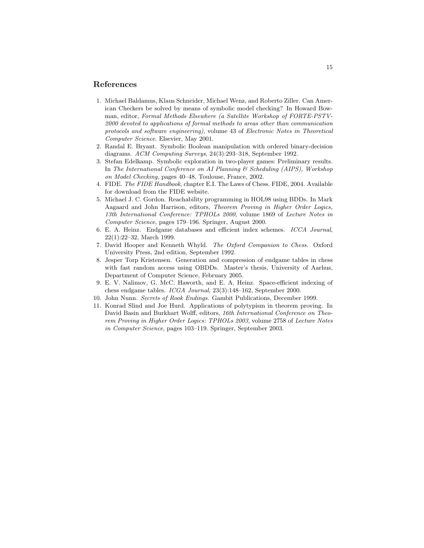## References

- 1. Michael Baldamus, Klaus Schneider, Michael Wenz, and Roberto Ziller. Can American Checkers be solved by means of symbolic model checking? In Howard Bowman, editor, Formal Methods Elsewhere (a Satellite Workshop of FORTE-PSTV-2000 devoted to applications of formal methods to areas other than communication protocols and software engineering), volume 43 of Electronic Notes in Theoretical Computer Science. Elsevier, May 2001.
- 2. Randal E. Bryant. Symbolic Boolean manipulation with ordered binary-decision diagrams. ACM Computing Surveys, 24(3):293–318, September 1992.
- 3. Stefan Edelkamp. Symbolic exploration in two-player games: Preliminary results. In The International Conference on AI Planning & Scheduling (AIPS), Workshop on Model Checking, pages 40–48, Toulouse, France, 2002.
- 4. FIDE. The FIDE Handbook, chapter E.I. The Laws of Chess. FIDE, 2004. Available for download from the FIDE website.
- 5. Michael J. C. Gordon. Reachability programming in HOL98 using BDDs. In Mark Aagaard and John Harrison, editors, Theorem Proving in Higher Order Logics, 13th International Conference: TPHOLs 2000, volume 1869 of Lecture Notes in Computer Science, pages 179–196. Springer, August 2000.
- 6. E. A. Heinz. Endgame databases and efficient index schemes. ICCA Journal, 22(1):22–32, March 1999.
- 7. David Hooper and Kenneth Whyld. The Oxford Companion to Chess. Oxford University Press, 2nd edition, September 1992.
- 8. Jesper Torp Kristensen. Generation and compression of endgame tables in chess with fast random access using OBDDs. Master's thesis, University of Aarhus, Department of Computer Science, February 2005.
- 9. E. V. Nalimov, G. McC. Haworth, and E. A. Heinz. Space-efficient indexing of chess endgame tables. ICGA Journal, 23(3):148–162, September 2000.
- 10. John Nunn. Secrets of Rook Endings. Gambit Publications, December 1999.
- 11. Konrad Slind and Joe Hurd. Applications of polytypism in theorem proving. In David Basin and Burkhart Wolff, editors, 16th International Conference on Theorem Proving in Higher Order Logics: TPHOLs 2003, volume 2758 of Lecture Notes in Computer Science, pages 103–119. Springer, September 2003.